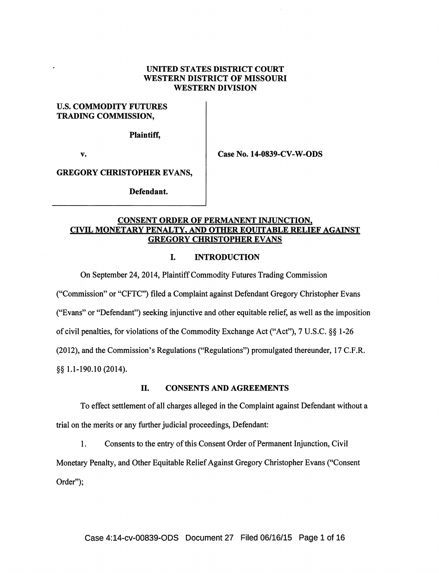### UNITED STATES DISTRICT COURT WESTERN DISTRICT OF MISSOURI WESTERN DIVISION

## U.S. COMMODITY FUTURES TRADING COMMISSION,

Plaintiff,

v. **Case No. 14-0839-CV-W-ODS** 

GREGORY CHRISTOPHER EVANS,

Defendant.

# CONSENT ORDER OF PERMANENT INJUNCTION. CIVIL MONETARY PENALTY, AND OTHER EQUITABLE RELIEF AGAINST GREGORY CHRISTOPHER EVANS

# I. INTRODUCTION

On September 24, 2014, Plaintiff Commodity Futures Trading Commission

("Commission" or "CFTC") filed a Complaint against Defendant Gregory Christopher Evans

("Evans" or "Defendant") seeking injunctive and other equitable relief, as well as the imposition

of civil penalties, for violations of the Commodity Exchange Act ("Act"), 7 U.S.C. §§ 1-26

(2012), and the Commission's Regulations ("Regulations") promulgated thereunder, 17 C.P.R.

§§ 1.1-190.10 (2014).

### II. CONSENTS AND AGREEMENTS

To effect settlement of all charges alleged in the Complaint against Defendant without a trial on the merits or any further judicial proceedings, Defendant:

1. Consents to the entry of this Consent Order of Permanent Injunction, Civil

Monetary Penalty, and Other Equitable Relief Against Gregory Christopher Evans ("Consent Order");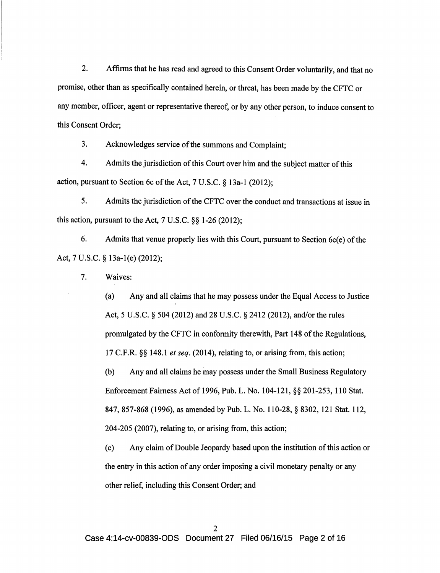2. Affirms that he has read and agreed to this Consent Order voluntarily, and that no promise, other than as specifically contained herein, or threat, has been made by the CFTC or any member, officer, agent or representative thereof, or by any other person, to induce consent to this Consent Order;

3. Acknowledges service ofthe summons and Complaint;

4. Admits the jurisdiction of this Court over him and the subject matter of this action, pursuant to Section 6c of the Act, 7 U.S.C. § 13a-1 (2012);

5. Admits the jurisdiction of the CFTC over the conduct and transactions at issue in this action, pursuant to the Act, 7 U.S.C. §§ 1-26 (2012);

6. Admits that venue properly lies with this Court, pursuant to Section 6c(e) of the Act, 7 U.S.C. § 13a-l(e) (2012);

7. Waives:

(a) Any and all claims that he may possess under the Equal Access to Justice Act, 5 U.S.C. § 504 (2012) and 28 U.S.C. § 2412 (2012), and/or the rules promulgated by the CFTC in conformity therewith, Part 148 of the Regulations, 17 C.P.R. §§ 148.1 *et seq.* (2014), relating to, or arising from, this action;

(b) Any and all claims he inay possess under the Small Business Regulatory Enforcement Fairness Act of 1996, Pub. L. No. 104-121, §§ 201-253, 110 Stat. 847, 857-868 (1996), as amended by Pub. L. No. 110-28, § 8302, 121 Stat. 112, 204-205 (2007), relating to, or arising from, this action;

(c) Any claim of Double Jeopardy based upon the institution of this action or the entry in this action of any order imposing a civil monetary penalty or any other relief, including this Consent Order; and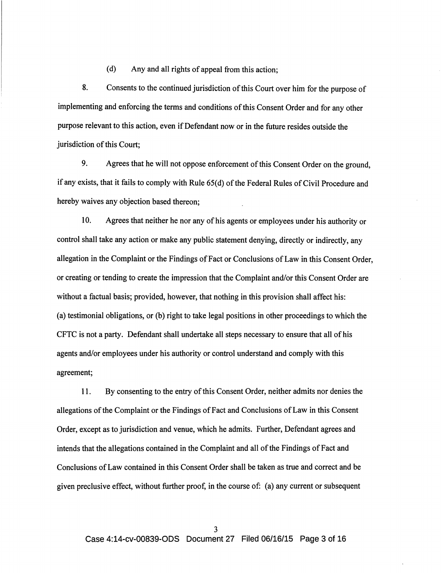(d) Any and all rights of appeal from this action;

8. Consents to the continued jurisdiction of this Court over him for the purpose of implementing and enforcing the terms and conditions of this Consent Order and for any other purpose relevant to this action, even if Defendant now or in the future resides outside the jurisdiction of this Court;

9. Agrees that he will not oppose enforcement of this Consent Order on the ground, if any exists, that it fails to comply with Rule 65(d) ofthe Federal Rules ofCivil Procedure and hereby waives any objection based thereon;

10. Agrees that neither he nor any of his agents or employees under his authority or control shall take any action or make any public statement denying, directly or indirectly, any allegation in the Complaint or the Findings of Fact or Conclusions of Law in this Consent Order, or creating or tending to create the impression that the Complaint and/or this Consent Order are without a factual basis; provided, however, that nothing in this provision shall affect his: (a) testimonial obligations, or (b) right to take legal positions in other proceedings to which the CFTC is not a party. Defendant shall undertake all steps necessary to ensure that all of his agents and/or employees under his authority or control understand and comply with this agreement;

11. By consenting to the entry of this Consent Order, neither admits nor denies the allegations of the Complaint or the Findings ofFact and Conclusions of Law in this Consent Order, except as to jurisdiction and venue, which he admits. Further, Defendant agrees and intends that the allegations contained in the Complaint and all of the Findings of Fact and Conclusions of Law contained in this Consent Order shall be taken as true and correct and be given preclusive effect, without further proof, in the course of: (a) any current or subsequent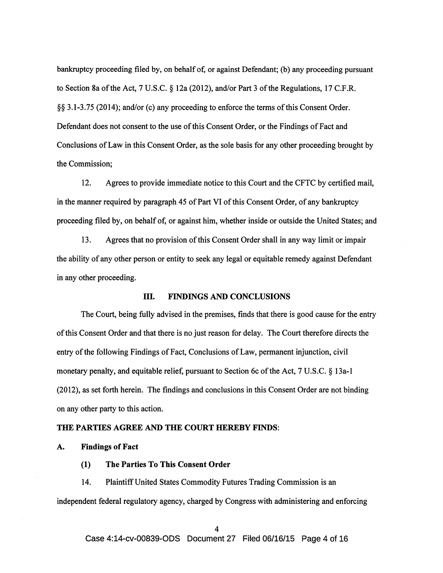bankruptcy proceeding filed by, on behalf of, or against Defendant; (b) any proceeding pursuant to Section 8a of the Act, 7 U.S.C. § 12a (2012), and/or Part 3 of the Regulations, 17 C.F.R. §§ 3.1-3.75 (2014); and/or (c) any proceeding to enforce the terms of this Consent Order. Defendant does not consent to the use of this Consent Order, or the Findings of Fact and Conclusions of Law in this Consent Order, as the sole basis for any other proceeding brought by the Commission;

12. Agrees to provide immediate notice to this Court and the CFTC by certified mail, in the manner required by paragraph 45 of Part VI of this Consent Order, of any bankruptcy proceeding filed by, on behalf of, or against him, whether inside or outside the United States; and

13. Agrees that no provision of this Consent Order shall in any way limit or impair the ability of any other person or entity to seek any legal or equitable remedy against Defendant in any other proceeding.

# ill. FINDINGS AND CONCLUSIONS

The Court, being fully advised in the premises, finds that there is good cause for the entry of this Consent Order and that there is no just reason for delay. The Court therefore directs the entry of the following Findings of Fact, Conclusions of Law, permanent injunction, civil monetary penalty, and equitable relief, pursuant to Section 6c of the Act, 7 U.S.C. § 13a-1 (2012), as set forth herein. The findings and conclusions in this Consent Order are not binding on any other party to this action.

### THE PARTIES AGREE AND THE COURT HEREBY FINDS:

### A. Findings of Fact

(1) The Parties To This Consent Order

14. Plaintiff United States Commodity Futures Trading Commission is an independent federal regulatory agency, charged by Congress with administering and enforcing

Case 4:14-cv-00839-0DS Document 27 Filed 06/16/15 Page 4 of 16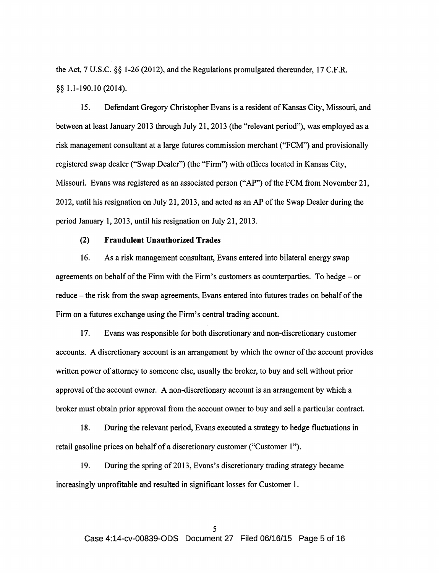the Act,  $7 \text{ U.S.C.}$  §§ 1-26 (2012), and the Regulations promulgated thereunder, 17 C.F.R. §§ 1.1-190.10 (2014).

15. Defendant Gregory Christopher Evans is a resident of Kansas City, Missouri, and between at least January 2013 through July 21, 2013 (the "relevant period"), was employed as a risk management consultant at a large futures commission merchant ("FCM") and provisionally registered swap dealer ("Swap Dealer") (the "Firm") with offices located in Kansas City, Missouri. Evans was registered as an associated person ("AP") of the FCM from November 21, 2012, until his resignation on July 21, 2013, and acted as an AP ofthe Swap Dealer during the period January 1, 2013, until his resignation on July 21, 2013.

### (2) Fraudulent Unauthorized Trades

16. As a risk management consultant, Evans entered into bilateral energy swap agreements on behalf of the Firm with the Firm's customers as counterparties. To hedge- or reduce - the risk from the swap agreements, Evans entered into futures trades on behalf of the Firm on a futures exchange using the Firm's central trading account.

17. Evans was responsible for both discretionary and non-discretionary customer accounts. A discretionary account is an arrangement by which the owner of the account provides written power of attorney to someone else, usually the broker, to buy and sell without prior approval of the account owner. A non-discretionary account is an arrangement by which a broker must obtain prior approval from the account owner to buy and sell a particular contract.

18. During the relevant period, Evans executed a strategy to hedge fluctuations in retail gasoline prices on behalf of a discretionary customer ("Customer 1").

19. During the spring of 2013, Evans's discretionary trading strategy became increasingly unprofitable and resulted in significant losses for Customer 1.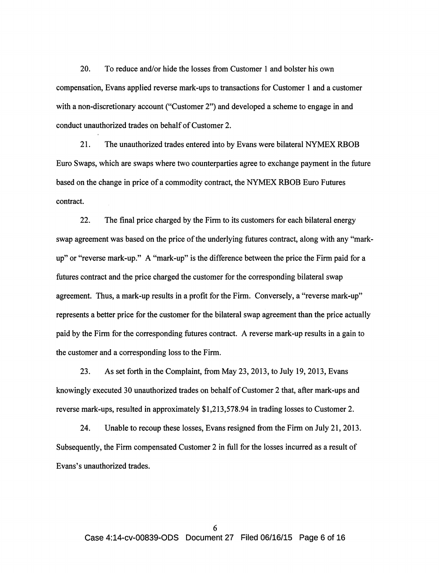20. To reduce and/or hide the losses from Customer 1 and bolster his own compensation, Evans applied reverse mark-ups to transactions for Customer 1 and a customer with a non-discretionary account ("Customer 2") and developed a scheme to engage in and conduct unauthorized trades on behalf of Customer 2.

21. The unauthorized trades entered into by Evans were bilateral NYMEX RBOB Euro Swaps, which are swaps where two counterparties agree to exchange payment in the future based on the change in price of a commodity contract, the NYMEX RBOB Euro Futures contract.

22. The final price charged by the Firm to its customers for each bilateral energy swap agreement was based on the price of the underlying futures contract, along with any "markup" or "reverse mark-up." A "mark-up" is the difference between the price the Firm paid for a futures contract and the price charged the customer for the corresponding bilateral swap agreement. Thus, a mark-up results in a profit for the Firm. Conversely, a "reverse mark-up" represents a better price for the customer for the bilateral swap agreement than the price actually paid by the Firm for the corresponding futures contract. A reverse mark-up results in a gain to the customer and a corresponding loss to the Firm.

23. As set forth in the Complaint, from May 23, 2013, to July 19, 2013, Evans knowingly executed 30 unauthorized trades on behalf of Customer 2 that, after mark-ups and reverse mark-ups, resulted in approximately \$1,213,578.94 in trading losses to Customer 2.

24. Unable to recoup these losses, Evans resigned from the Firm on July 21, 2013. Subsequently, the Firm compensated Customer 2 in full for the losses incurred as a result of Evans's unauthorized trades.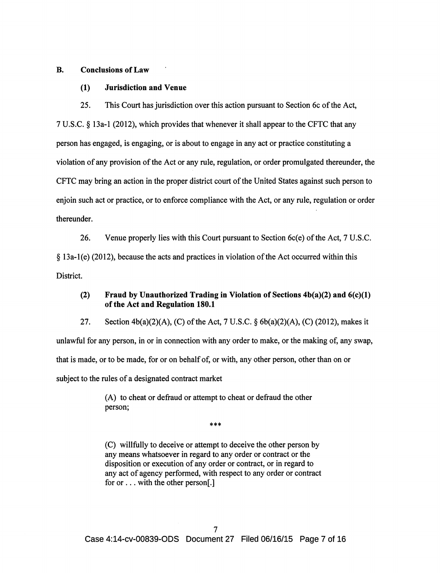### B. Conclusions of Law

### (1) Jurisdiction and Venue

25. This Court has jurisdiction over this action pursuant to Section 6c of the Act,

7 U.S.C. § 13a-1 (2012), which provides that whenever it shall appear to the CFTC that any person has engaged, is engaging, or is about to engage in any act or practice constituting a violation of any provision of the Act or any rule, regulation, or order promulgated thereunder, the CFTC may bring an action in the proper district court of the United States against such person to enjoin such act or practice, or to enforce compliance with the Act, or any rule, regulation or order thereunder.

26. Venue properly lies with this Court pursuant to Section 6c(e) of the Act, 7 U.S.C.  $\S$  13a-1(e) (2012), because the acts and practices in violation of the Act occurred within this District.

## (2) Fraud by Unauthorized Trading in Violation of Sections  $4b(a)(2)$  and  $6(c)(1)$ of the Act and Regulation 180.1

27. Section  $4b(a)(2)(A)$ , (C) of the Act, 7 U.S.C. §  $6b(a)(2)(A)$ , (C) (2012), makes it unlawful for any person, in or in connection with any order to make, or the making of, any swap, that is made, or to be made, for or on behalf of, or with, any other person, other than on or subject to the rules of a designated contract market

> (A) to cheat or defraud or attempt to cheat or defraud the other person;

> > \*\*\*

(C) willfully to deceive or attempt to deceive the other person by any means whatsoever in regard to any order or contract or the disposition or execution of any order or contract, or in regard to any act of agency performed, with respect to any order or contract for or ... with the other person[.]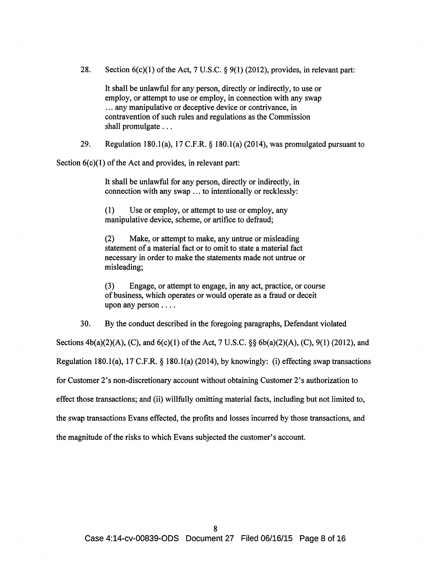28. Section  $6(c)(1)$  of the Act, 7 U.S.C. § 9(1) (2012), provides, in relevant part:

It shall be unlawful for any person, directly or indirectly, to use or employ, or attempt to use or employ, in connection with any swap ... any manipulative or deceptive device or contrivance, in contravention of such rules and regulations as the Commission shall promulgate ...

29. Regulation 180.1(a), 17 C.F.R.  $\S$  180.1(a) (2014), was promulgated pursuant to

Section  $6(c)(1)$  of the Act and provides, in relevant part:

It shall be unlawful for any person, directly or indirectly, in connection with any swap ... to intentionally or recklessly:

(1) Use or employ, or attempt to use or employ, any manipulative device, scheme, or artifice to defraud;

(2) Make, or attempt to make, any untrue or misleading statement of a material fact or to omit to state a material fact necessary in order to make the statements made not untrue or misleading;

(3) Engage, or attempt to engage, in any act, practice, or course of business, which operates or would operate as a fraud or deceit upon any person ....

30. By the conduct described in the foregoing paragraphs, Defendant violated

Sections  $4b(a)(2)(A)$ , (C), and  $6(c)(1)$  of the Act, 7 U.S.C. §§  $6b(a)(2)(A)$ , (C), 9(1) (2012), and

Regulation 180.1(a), 17 C.F.R.  $\S$  180.1(a) (2014), by knowingly: (i) effecting swap transactions

for Customer 2's non-discretionary account without obtaining Customer 2's authorization to

effect those transactions; and (ii) willfully omitting material facts, including but not limited to,

the swap transactions Evans effected, the profits and losses incurred by those transactions, and

the magnitude of the risks to which Evans subjected the customer's account.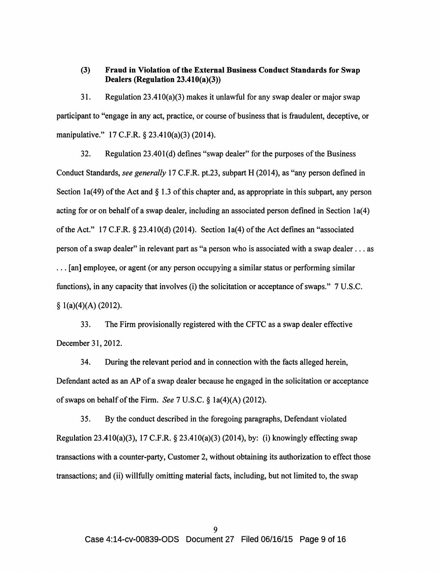### (3) Fraud in Violation of the External Business Conduct Standards for Swap Dealers (Regulation 23.410(a)(3))

31. Regulation  $23.410(a)(3)$  makes it unlawful for any swap dealer or major swap participant to "engage in any act, practice, or course of business that is fraudulent, deceptive, or manipulative." 17 C.F.R. § 23.410(a)(3) (2014).

32. Regulation 23.401(d) defines "swap dealer" for the purposes of the Business Conduct Standards, *see generally* 17 C.F.R. pt.23, subpart H (2014), as "any person defined in Section 1a(49) of the Act and  $\S 1.3$  of this chapter and, as appropriate in this subpart, any person acting for or on behalf of a swap dealer, including an associated person defined in Section 1a(4) ofthe Act." 17 C.P.R. § 23.410(d) (2014). Section 1a(4) of the Act defines an "associated person of a swap dealer" in relevant part as "a person who is associated with a swap dealer ... as ... [an] employee, or agent (or any person occupying a similar status or performing similar functions), in any capacity that involves (i) the solicitation or acceptance of swaps." 7 U.S.C.  $§ 1(a)(4)(A) (2012).$ 

33. The Firm provisionally registered with the CFTC as a swap dealer effective December 31,2012.

34. During the relevant period and in connection with the facts alleged herein, Defendant acted as an AP of a swap dealer because he engaged in the solicitation or acceptance of swaps on behalfofthe Firm. *See* 7 U.S.C. § 1a(4)(A)(2012).

35. By the conduct described in the foregoing paragraphs, Defendant violated Regulation 23.410(a)(3), 17 C.F.R. § 23.410(a)(3) (2014), by: (i) knowingly effecting swap transactions with a counter-party, Customer 2, without obtaining its authorization to effect those transactions; and (ii) willfully omitting material facts, including, but not limited to, the swap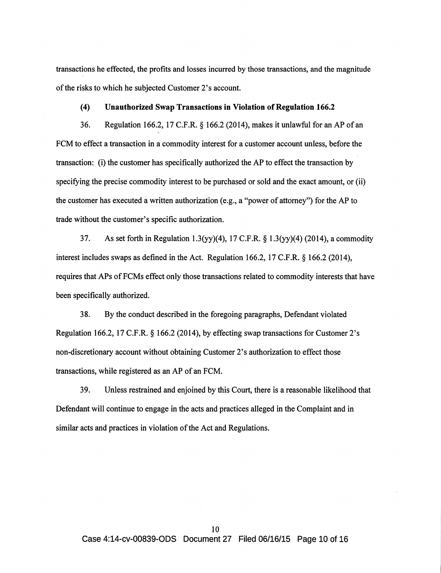transactions he effected, the profits and losses incurred by those transactions, and the magnitude of the risks to which he subjected Customer 2's account.

### (4) Unauthorized Swap Transactions in Violation of Regulation 166.2

36. Regulation 166.2, 17 C.F.R. § 166.2 (2014), makes it unlawful for an AP of an FCM to effect a transaction in a commodity interest for a customer account unless, before the transaction: (i) the customer has specifically authorized the AP to effect the transaction by specifying the precise commodity interest to be purchased or sold and the exact amount, or (ii) the customer has executed a written authorization (e.g., a "power of attorney") for the AP to trade without the customer's specific authorization.

37. As set forth in Regulation 1.3(yy)(4), 17 C.F.R. § 1.3(yy)(4) (2014), a commodity interest includes swaps as defined in the Act. Regulation 166.2, 17 C.F.R. § 166.2 (2014), requires that APs ofFCMs effect only those transactions related to commodity interests that have been specifically authorized.

38. By the conduct described in the foregoing paragraphs, Defendant violated Regulation 166.2, 17 C.F.R. § 166.2 (2014), by effecting swap transactions for Customer 2's non-discretionary account without obtaining Customer 2's authorization to effect those transactions, while registered as an AP of an FCM.

39. Unless restrained and enjoined by this Court, there is a reasonable likelihood that Defendant will continue to engage in the acts and practices alleged in the Complaint and in similar acts and practices in violation of the Act and Regulations.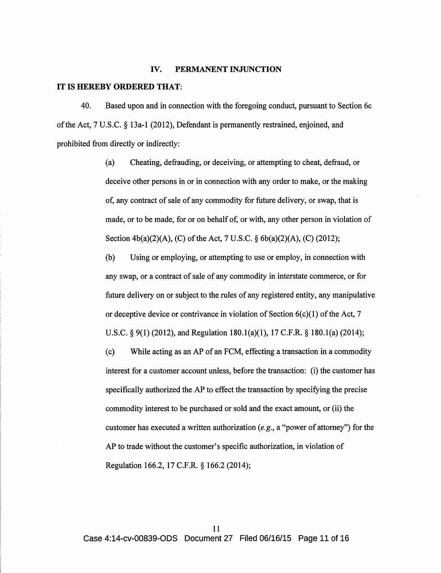#### IV. PERMANENT INJUNCTION

#### IT IS HEREBY ORDERED THAT:

40. Based upon and in connection with the foregoing conduct, pursuant to Section 6c ofthe Act, 7 U.S.C. § 13a-1 (2012), Defendant is permanently restrained, enjoined, and prohibited from directly or indirectly:

> (a) Cheating, defrauding, or deceiving, or attempting to cheat, defraud, or deceive other persons in or in connection with any order to make, or the making of, any contract of sale of any commodity for future delivery, or swap, that is made, or to be made, for or on behalf of, or with, any other person in violation of Section  $4b(a)(2)(A)$ , (C) of the Act, 7 U.S.C. §  $6b(a)(2)(A)$ , (C) (2012);

(b) Using or employing, or attempting to use or employ, in connection with any swap, or a contract of sale of any commodity in interstate commerce, or for future delivery on or subject to the rules of any registered entity, any manipulative or deceptive device or contrivance in violation of Section  $6(c)(1)$  of the Act, 7 U.S.C. § 9(1) (2012), and Regulation 180.l(a)(1), 17 C.F.R. § 180.l(a) (2014);

(c) While acting as an AP of an FCM, effecting a transaction in a commodity interest for a customer account unless, before the transaction: (i) the customer has specifically authorized the AP to effect the transaction by specifying the precise commodity interest to be purchased or sold and the exact amount, or (ii) the customer has executed a written authorization *(e.g.,* a "power of attorney") for the AP to trade without the customer's specific authorization, in violation of Regulation 166.2, 17 C.F.R. § 166.2 (2014);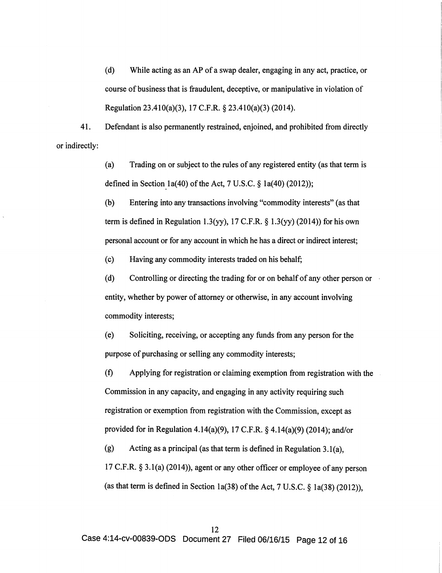(d) While acting as an AP of a swap dealer, engaging in any act, practice, or course of business that is fraudulent, deceptive, or manipulative in violation of Regulation 23.410(a)(3), 17 C.F.R. § 23.410(a)(3) (2014).

41. Defendant is also permanently restrained, enjoined, and prohibited from directly or indirectly:

> (a) Trading on or subject to the rules of any registered entity (as that term is defined in Section 1a(40) of the Act, 7 U.S.C.  $\S$  1a(40) (2012));

(b) Entering into any transactions involving "commodity interests" (as that term is defined in Regulation 1.3(yy), 17 C.F.R.  $\S$  1.3(yy) (2014)) for his own personal account or for any account in which he has a direct or indirect interest;

(c) Having any commodity interests traded on his behalf;

(d) Controlling or directing the trading for or on behalf of any other person or entity, whether by power of attorney or otherwise, in any account involving commodity interests;

(e) Soliciting, receiving, or accepting any funds from any person for the purpose of purchasing or selling any commodity interests;

(f) Applying for registration or claiming exemption from registration with the Commission in any capacity, and engaging in any activity requiring such registration or exemption from registration with the Commission, except as provided for in Regulation 4.14(a)(9), 17 C.F.R. § 4.14(a)(9) (2014); and/or

(g) Acting as a principal (as that term is defined in Regulation 3.l(a), 17 C.F.R. § 3.1(a) (2014)), agent or any other officer or employee of any person (as that term is defined in Section 1a(38) of the Act,  $7 \text{ U.S.C.}$  § 1a(38) (2012)),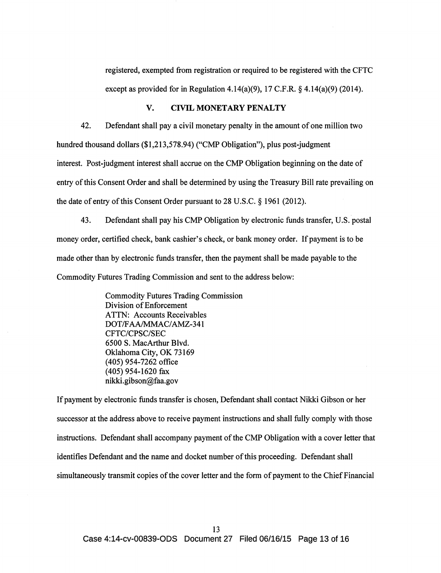registered, exempted from registration or required to be registered with the CFTC except as provided for in Regulation 4.14(a)(9), 17 C.F.R.  $\S$  4.14(a)(9) (2014).

# V. CIVIL MONETARY PENALTY

42. Defendant shall pay a civil monetary penalty in the amount of one million two hundred thousand dollars (\$1,213,578.94) ("CMP Obligation"), plus post-judgment interest. Post-judgment interest shall accrue on the CMP Obligation beginning on the date of entry of this Consent Order and shall be determined by using the Treasury Bill rate prevailing on the date of entry of this Consent Order pursuant to  $28$  U.S.C. § 1961 (2012).

43. Defendant shall pay his CMP Obligation by electronic funds transfer, U.S. postal money order, certified check, bank cashier's check, or bank money order. If payment is to be made other than by electronic funds transfer, then the payment shall be made payable to the Commodity Futures Trading Commission and sent to the address below:

> Commodity Futures Trading Commission Division of Enforcement ATTN: Accounts Receivables DOT/FAA/MMAC/AMZ-341 CFTC/CPSC/SEC 6500 S. MacArthur Blvd. Oklahoma City, OK 73169 (405) 954-7262 office (405) 954-1620 fax nikki.gibson@faa.gov

If payment by electronic funds transfer is chosen, Defendant shall contact Nikki Gibson or her successor at the address above to receive payment instructions and shall fully comply with those instructions. Defendant shall accompany payment of the CMP Obligation with a cover letter that identifies Defendant and the name and docket number of this proceeding. Defendant shall simultaneously transmit copies of the cover letter and the form of payment to the Chief Financial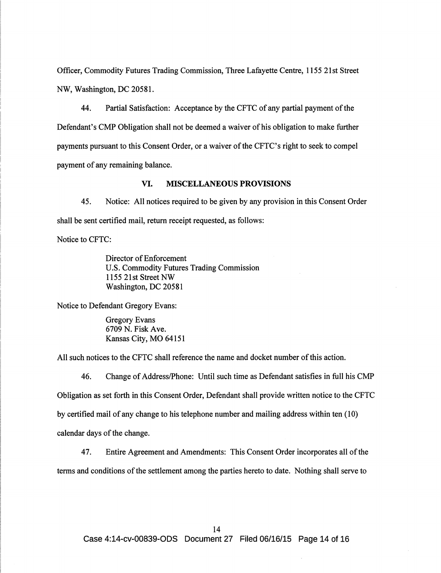Officer, Commodity Futures Trading Commission, Three Lafayette Centre, 1155 21st Street NW, Washington, DC 20581.

44. Partial Satisfaction: Acceptance by the CFTC of any partial payment of the Defendant's CMP Obligation shall not be deemed a waiver of his obligation to make further payments pursuant to this Consent Order, or a waiver of the CFTC's right to seek to compel payment of any remaining balance.

### VI. MISCELLANEOUS PROVISIONS

45. Notice: All notices required to be given by any provision in this Consent Order shall be sent certified mail, return receipt requested, as follows:

Notice to CFTC:

Director of Enforcement U.S. Commodity Futures Trading Commission 1155 21st Street NW Washington, DC 20581

Notice to Defendant Gregory Evans:

Gregory Evans 6709 N. Fisk Ave. Kansas City, MO 64151

All such notices to the CFTC shall reference the name and docket number of this action.

46. Change of Address/Phone: Until such time as Defendant satisfies in full his CMP Obligation as set forth in this Consent Order, Defendant shall provide written notice to the CFTC by certified mail of any change to his telephone number and mailing address within ten (10) calendar days of the change.

47. Entire Agreement and Amendments: This Consent Order incorporates all of the terms and conditions of the settlement among the parties hereto to date. Nothing shall serve to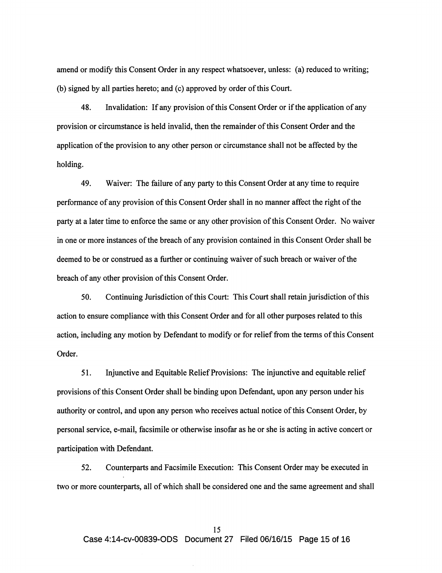amend or modify this Consent Order in any respect whatsoever, unless: (a) reduced to writing; (b) signed by all parties hereto; and (c) approved by order of this Court.

48. Invalidation: If any provision of this Consent Order or if the application of any provision or circumstance is held invalid, then the remainder of this Consent Order and the application of the provision to any other person or circumstance shall not be affected by the holding.

49. Waiver: The failure of any party to this Consent Order at any time to require performance of any provision of this Consent Order shall in no manner affect the right of the party at a later time to enforce the same or any other provision of this Consent Order. No waiver in one or more instances of the breach of any provision contained in this Consent Order shall be deemed to be or construed as a further or continuing waiver of such breach or waiver of the breach of any other provision of this Consent Order.

50. Continuing Jurisdiction of this Court: This Court shall retain jurisdiction of this action to ensure compliance with this Consent Order and for all other purposes related to this action, including any motion by Defendant to modify or for relief from the terms of this Consent Order.

51. Injunctive and Equitable Relief Provisions: The injunctive and equitable relief provisions of this Consent Order shall be binding upon Defendant, upon any person under his authority or control, and upon any person who receives actual notice of this Consent Order, by personal service, e-mail, facsimile or otherwise insofar as he or she is acting in active concert or participation with Defendant.

52. Counterparts and Facsimile Execution: This Consent Order may be executed in two or more counterparts, all of which shall be considered one and the same agreement and shall

Case 4:14-cv-00839-0DS Document 27 Filed 06/16/15 Page 15 of 16

#### 15